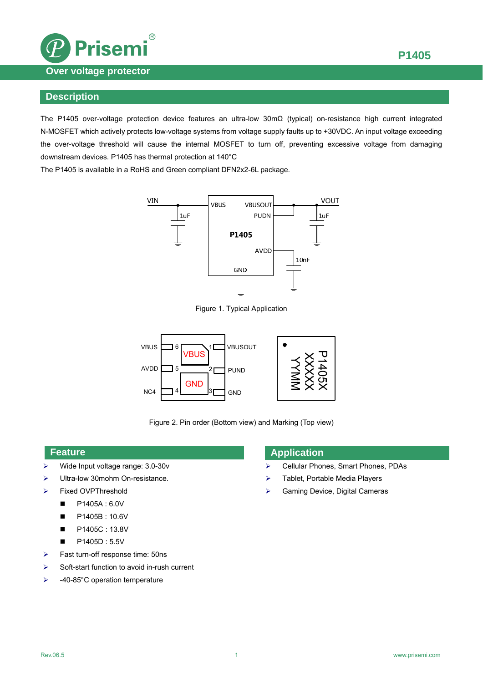

#### **Description**

The P1405 over-voltage protection device features an ultra-low 30mΩ (typical) on-resistance high current integrated N-MOSFET which actively protects low-voltage systems from voltage supply faults up to +30VDC. An input voltage exceeding the over-voltage threshold will cause the internal MOSFET to turn off, preventing excessive voltage from damaging downstream devices. P1405 has thermal protection at 140°C

The P1405 is available in a RoHS and Green compliant DFN2x2-6L package.



Figure 1. Typical Application



Figure 2. Pin order (Bottom view) and Marking (Top view)

#### **Feature**

- Wide Input voltage range: 3.0-30v
- Ultra-low 30mohm On-resistance.
- Fixed OVPThreshold
	- $P1405A : 6.0V$
	- P1405B: 10.6V
	- P1405C: 13.8V
	- $P1405D : 5.5V$
- $\triangleright$  Fast turn-off response time: 50ns
- $\triangleright$  Soft-start function to avoid in-rush current
- $\blacktriangleright$  -40-85°C operation temperature

#### **Application**

- Cellular Phones, Smart Phones, PDAs
- > Tablet, Portable Media Players
- $\triangleright$  Gaming Device, Digital Cameras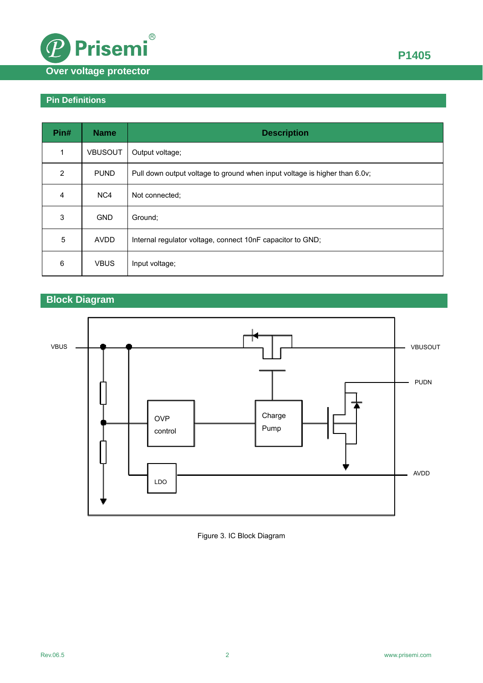

# **Pin Definitions**

| Pin#       | <b>Name</b>    | <b>Description</b>                                                         |
|------------|----------------|----------------------------------------------------------------------------|
| 1          | <b>VBUSOUT</b> | Output voltage;                                                            |
| 2          | <b>PUND</b>    | Pull down output voltage to ground when input voltage is higher than 6.0v; |
| 4          | NC4            | Not connected;                                                             |
| 3          | <b>GND</b>     | Ground:                                                                    |
| $\sqrt{5}$ | <b>AVDD</b>    | Internal regulator voltage, connect 10nF capacitor to GND;                 |
| 6          | <b>VBUS</b>    | Input voltage;                                                             |

# **Block Diagram**



#### Figure 3. IC Block Diagram

**P1405**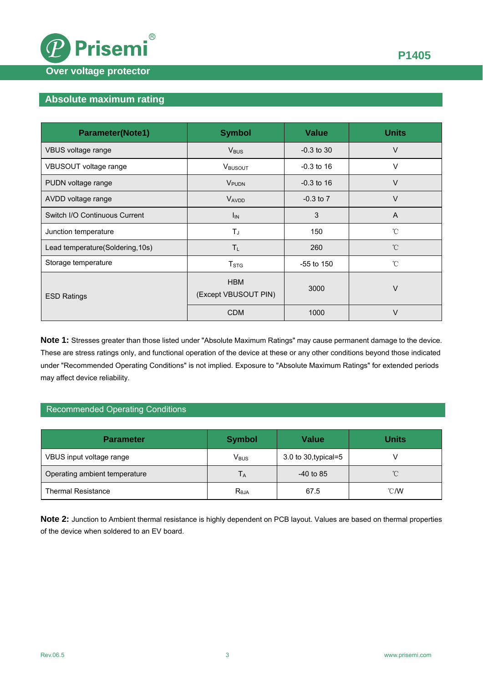

# **Absolute maximum rating**

| <b>Parameter(Note1)</b>          | <b>Symbol</b>                      | <b>Value</b>  | <b>Units</b>   |  |
|----------------------------------|------------------------------------|---------------|----------------|--|
| VBUS voltage range               | $V_{\text{BUS}}$                   | $-0.3$ to 30  | $\vee$         |  |
| VBUSOUT voltage range            | VBUSOUT                            | $-0.3$ to 16  | $\vee$         |  |
| PUDN voltage range               | VPUDN                              | $-0.3$ to 16  | $\vee$         |  |
| AVDD voltage range               | <b>VAVDD</b>                       | $-0.3$ to $7$ | $\vee$         |  |
| Switch I/O Continuous Current    | 3<br>$I_{IN}$                      |               | $\overline{A}$ |  |
| Junction temperature             | $T_{\rm J}$                        | 150           | $^{\circ}$ C   |  |
| Lead temperature(Soldering, 10s) | $T_{L}$                            | 260           | $^{\circ}$ C   |  |
| Storage temperature              | T <sub>STG</sub>                   | $-55$ to 150  | $^{\circ}$ C   |  |
| <b>ESD Ratings</b>               | <b>HBM</b><br>(Except VBUSOUT PIN) | 3000          | V              |  |
|                                  | <b>CDM</b>                         | 1000          | V              |  |

**Note 1:** Stresses greater than those listed under "Absolute Maximum Ratings" may cause permanent damage to the device. These are stress ratings only, and functional operation of the device at these or any other conditions beyond those indicated under "Recommended Operating Conditions" is not implied. Exposure to "Absolute Maximum Ratings" for extended periods may affect device reliability.

#### Recommended Operating Conditions

| <b>Parameter</b>              | <b>Symbol</b>    | <b>Value</b>         | <b>Units</b>   |  |
|-------------------------------|------------------|----------------------|----------------|--|
| VBUS input voltage range      | $V_{\text{BUS}}$ | 3.0 to 30, typical=5 |                |  |
| Operating ambient temperature | Tд               | $-40$ to 85          | $^{\circ}$ C   |  |
| <b>Thermal Resistance</b>     | $R_{\theta JA}$  | 67.5                 | $^{\circ}$ C/W |  |

**Note 2:** Junction to Ambient thermal resistance is highly dependent on PCB layout. Values are based on thermal properties of the device when soldered to an EV board.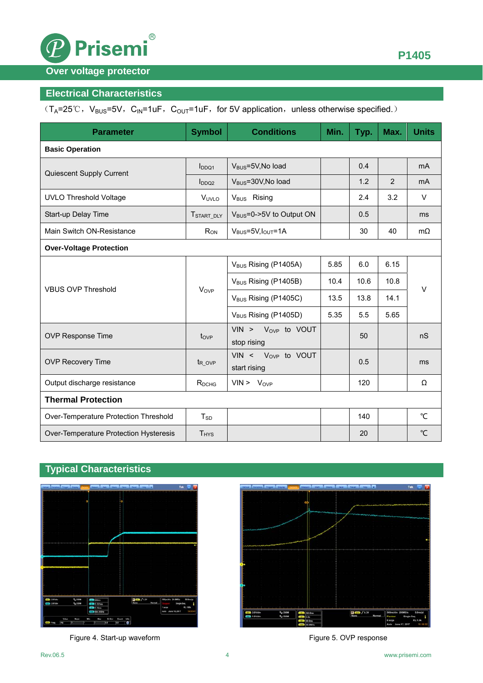

## **Over voltage protector**

## **Electrical Characteristics**

 $(T_A=25°C, V_{BUS}=5V, C_N=1uF, C_{OUT}=1uF, for 5V application, unless otherwise specified.)$ 

| <b>Parameter</b>                       | <b>Symbol</b>           | <b>Conditions</b>                       | Min. | Typ. | Max. | <b>Units</b>    |  |  |  |  |
|----------------------------------------|-------------------------|-----------------------------------------|------|------|------|-----------------|--|--|--|--|
| <b>Basic Operation</b>                 |                         |                                         |      |      |      |                 |  |  |  |  |
| Quiescent Supply Current               | $I_{DDO1}$              | V <sub>BUS</sub> =5V, No load           |      | 0.4  |      | mA              |  |  |  |  |
|                                        | $I_{DDQ2}$              | V <sub>BUS</sub> =30V, No load          |      | 1.2  | 2    | m <sub>A</sub>  |  |  |  |  |
| <b>UVLO Threshold Voltage</b>          | V <sub>UVLO</sub>       | V <sub>BUS</sub> Rising                 |      | 2.4  | 3.2  | $\vee$          |  |  |  |  |
| Start-up Delay Time                    | T <sub>START_DLY</sub>  | V <sub>BUS</sub> =0->5V to Output ON    |      | 0.5  |      | ms              |  |  |  |  |
| Main Switch ON-Resistance              | $R_{ON}$                | $V_{BUS} = 5V, I_{OUT} = 1A$            |      | 30   | 40   | $m\Omega$       |  |  |  |  |
| <b>Over-Voltage Protection</b>         |                         |                                         |      |      |      |                 |  |  |  |  |
|                                        | Vove                    | V <sub>BUS</sub> Rising (P1405A)        | 5.85 | 6.0  | 6.15 | $\vee$          |  |  |  |  |
|                                        |                         | V <sub>BUS</sub> Rising (P1405B)        | 10.4 | 10.6 | 10.8 |                 |  |  |  |  |
| <b>VBUS OVP Threshold</b>              |                         | V <sub>BUS</sub> Rising (P1405C)        | 13.5 | 13.8 | 14.1 |                 |  |  |  |  |
|                                        |                         | V <sub>BUS</sub> Rising (P1405D)        | 5.35 | 5.5  | 5.65 |                 |  |  |  |  |
| OVP Response Time                      | $t_{OVP}$               | VIN > $V_{OVP}$ to VOUT<br>stop rising  |      | 50   |      | nS              |  |  |  |  |
| <b>OVP Recovery Time</b>               | $t_{ROVP}$              | VIN < $V_{OVP}$ to VOUT<br>start rising |      | 0.5  |      | ms              |  |  |  |  |
| Output discharge resistance            | R <sub>DCHG</sub>       | $VIN > V_{OVP}$                         |      | 120  |      | Ω               |  |  |  |  |
| <b>Thermal Protection</b>              |                         |                                         |      |      |      |                 |  |  |  |  |
| Over-Temperature Protection Threshold  | $T_{SD}$                |                                         |      | 140  |      | °C              |  |  |  |  |
| Over-Temperature Protection Hysteresis | <b>T</b> <sub>HYS</sub> |                                         |      | 20   |      | $\rm ^{\circ}C$ |  |  |  |  |

## **Typical Characteristics**



Figure 4. Start-up waveform example and the starting Figure 5. OVP response



**P1405**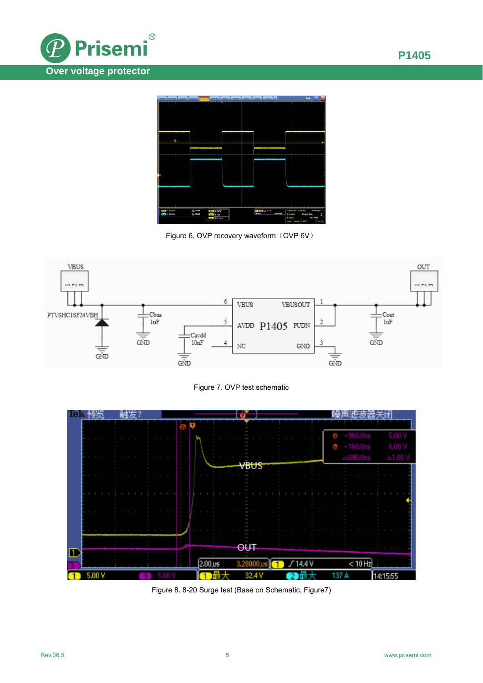



Figure 6. OVP recovery waveform (OVP 6V)







Figure 8. 8-20 Surge test (Base on Schematic, Figure7)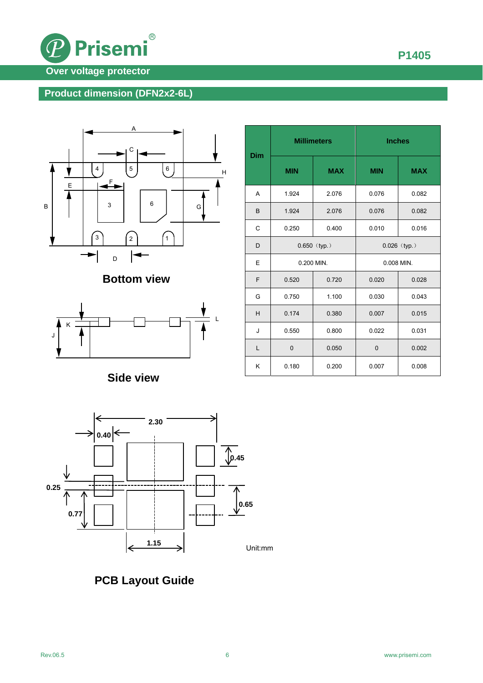

## **Product dimension (DFN2x2-6L)**



**Bottom view** 

![](_page_5_Figure_4.jpeg)

**Side view** 

![](_page_5_Figure_6.jpeg)

![](_page_5_Figure_7.jpeg)

**PCB Layout Guide**